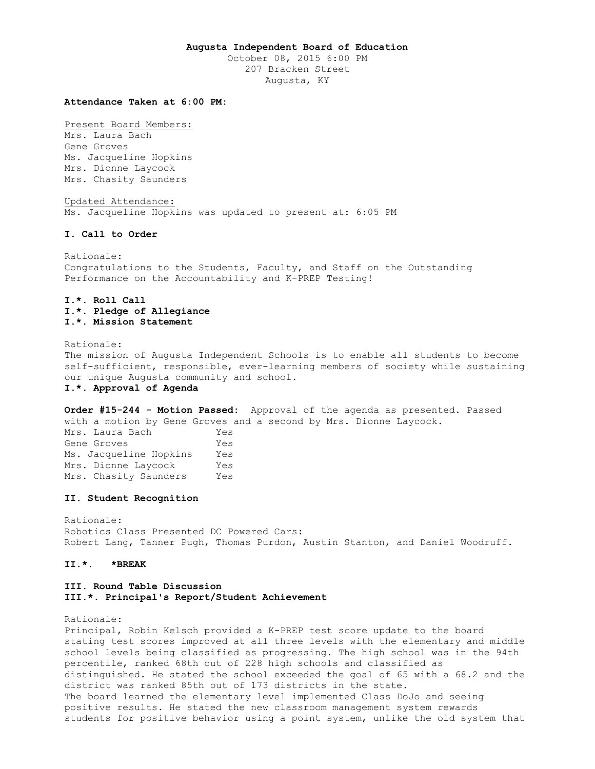### **Augusta Independent Board of Education**

October 08, 2015 6:00 PM 207 Bracken Street Augusta, KY

#### **Attendance Taken at 6:00 PM:**

Present Board Members: Mrs. Laura Bach Gene Groves Ms. Jacqueline Hopkins Mrs. Dionne Laycock Mrs. Chasity Saunders

Updated Attendance: Ms. Jacqueline Hopkins was updated to present at: 6:05 PM

# **I. Call to Order**

Rationale: Congratulations to the Students, Faculty, and Staff on the Outstanding Performance on the Accountability and K-PREP Testing!

# **I.\*. Roll Call I.\*. Pledge of Allegiance I.\*. Mission Statement**

Rationale: The mission of Augusta Independent Schools is to enable all students to become self-sufficient, responsible, ever-learning members of society while sustaining our unique Augusta community and school.

**I.\*. Approval of Agenda** 

**Order #15-244 - Motion Passed:** Approval of the agenda as presented. Passed with a motion by Gene Groves and a second by Mrs. Dionne Laycock. Mrs. Laura Bach Yes Gene Groves Yes Ms. Jacqueline Hopkins Yes Mrs. Dionne Laycock Yes Mrs. Chasity Saunders Yes

#### **II. Student Recognition**

Rationale: Robotics Class Presented DC Powered Cars: Robert Lang, Tanner Pugh, Thomas Purdon, Austin Stanton, and Daniel Woodruff.

#### **II.\*. \*BREAK**

# **III. Round Table Discussion III.\*. Principal's Report/Student Achievement**

Rationale:

Principal, Robin Kelsch provided a K-PREP test score update to the board stating test scores improved at all three levels with the elementary and middle school levels being classified as progressing. The high school was in the 94th percentile, ranked 68th out of 228 high schools and classified as distinguished. He stated the school exceeded the goal of 65 with a 68.2 and the district was ranked 85th out of 173 districts in the state. The board learned the elementary level implemented Class DoJo and seeing positive results. He stated the new classroom management system rewards students for positive behavior using a point system, unlike the old system that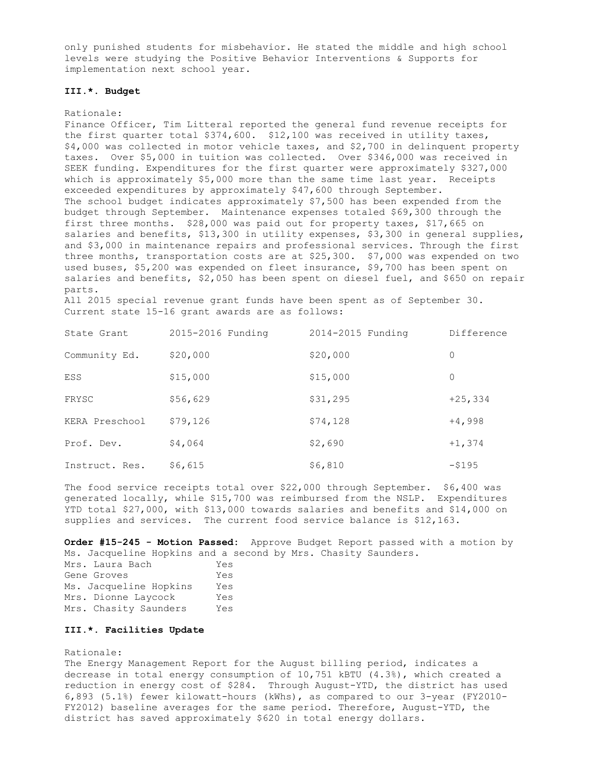only punished students for misbehavior. He stated the middle and high school levels were studying the Positive Behavior Interventions & Supports for implementation next school year.

# **III.\*. Budget**

#### Rationale:

Finance Officer, Tim Litteral reported the general fund revenue receipts for the first quarter total \$374,600. \$12,100 was received in utility taxes, \$4,000 was collected in motor vehicle taxes, and \$2,700 in delinquent property taxes. Over \$5,000 in tuition was collected. Over \$346,000 was received in SEEK funding. Expenditures for the first quarter were approximately \$327,000 which is approximately \$5,000 more than the same time last year. Receipts exceeded expenditures by approximately \$47,600 through September. The school budget indicates approximately \$7,500 has been expended from the budget through September. Maintenance expenses totaled \$69,300 through the first three months. \$28,000 was paid out for property taxes, \$17,665 on salaries and benefits, \$13,300 in utility expenses, \$3,300 in general supplies, and \$3,000 in maintenance repairs and professional services. Through the first three months, transportation costs are at \$25,300. \$7,000 was expended on two used buses, \$5,200 was expended on fleet insurance, \$9,700 has been spent on salaries and benefits, \$2,050 has been spent on diesel fuel, and \$650 on repair parts.

All 2015 special revenue grant funds have been spent as of September 30. Current state 15-16 grant awards are as follows:

| State Grant    | 2015-2016 Funding | 2014-2015 Funding | Difference   |
|----------------|-------------------|-------------------|--------------|
| Community Ed.  | \$20,000          | \$20,000          | $\mathbf{0}$ |
| ESS            | \$15,000          | \$15,000          | 0            |
| FRYSC          | \$56,629          | \$31,295          | $+25,334$    |
| KERA Preschool | \$79,126          | \$74,128          | $+4,998$     |
| Prof. Dev.     | \$4,064           | \$2,690           | $+1,374$     |
| Instruct. Res. | \$6,615           | \$6,810           | $-5195$      |

The food service receipts total over \$22,000 through September. \$6,400 was generated locally, while \$15,700 was reimbursed from the NSLP. Expenditures YTD total \$27,000, with \$13,000 towards salaries and benefits and \$14,000 on supplies and services. The current food service balance is \$12,163.

**Order #15-245 - Motion Passed:** Approve Budget Report passed with a motion by Ms. Jacqueline Hopkins and a second by Mrs. Chasity Saunders.

| Mrs. Laura Bach        | Yes |
|------------------------|-----|
| Gene Groves            | Yes |
| Ms. Jacqueline Hopkins | Yes |
| Mrs. Dionne Laycock    | Yes |
| Mrs. Chasity Saunders  | Yes |

## **III.\*. Facilities Update**

#### Rationale:

The Energy Management Report for the August billing period, indicates a decrease in total energy consumption of 10,751 kBTU (4.3%), which created a reduction in energy cost of \$284. Through August-YTD, the district has used 6,893 (5.1%) fewer kilowatt-hours (kWhs), as compared to our 3-year (FY2010- FY2012) baseline averages for the same period. Therefore, August-YTD, the district has saved approximately \$620 in total energy dollars.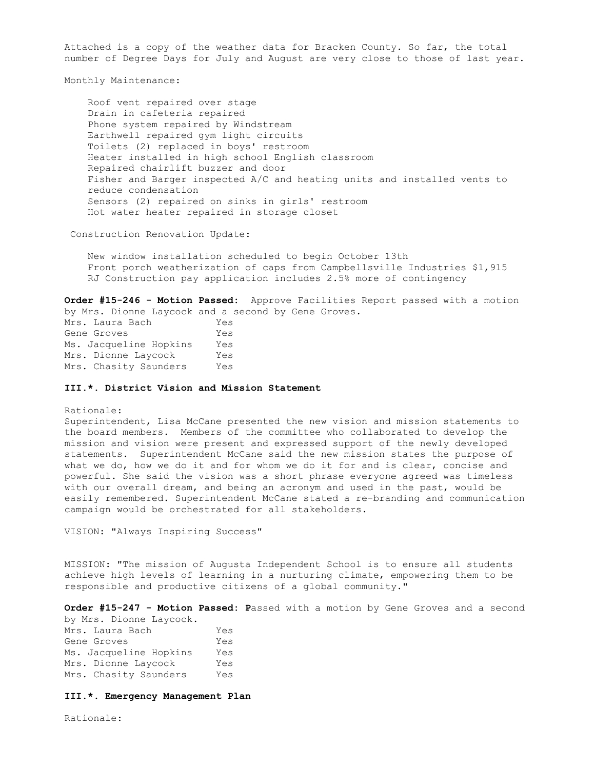Attached is a copy of the weather data for Bracken County. So far, the total number of Degree Days for July and August are very close to those of last year.

Monthly Maintenance:

 Roof vent repaired over stage Drain in cafeteria repaired Phone system repaired by Windstream Earthwell repaired gym light circuits Toilets (2) replaced in boys' restroom Heater installed in high school English classroom Repaired chairlift buzzer and door Fisher and Barger inspected A/C and heating units and installed vents to reduce condensation Sensors (2) repaired on sinks in girls' restroom Hot water heater repaired in storage closet

Construction Renovation Update:

 New window installation scheduled to begin October 13th Front porch weatherization of caps from Campbellsville Industries \$1,915 RJ Construction pay application includes 2.5% more of contingency

**Order #15-246 - Motion Passed:** Approve Facilities Report passed with a motion by Mrs. Dionne Laycock and a second by Gene Groves.

Mrs. Laura Bach Yes Gene Groves Tes Ms. Jacqueline Hopkins Yes Mrs. Dionne Laycock Yes Mrs. Chasity Saunders Yes

#### **III.\*. District Vision and Mission Statement**

#### Rationale:

Superintendent, Lisa McCane presented the new vision and mission statements to the board members. Members of the committee who collaborated to develop the mission and vision were present and expressed support of the newly developed statements. Superintendent McCane said the new mission states the purpose of what we do, how we do it and for whom we do it for and is clear, concise and powerful. She said the vision was a short phrase everyone agreed was timeless with our overall dream, and being an acronym and used in the past, would be easily remembered. Superintendent McCane stated a re-branding and communication campaign would be orchestrated for all stakeholders.

VISION: "Always Inspiring Success"

MISSION: "The mission of Augusta Independent School is to ensure all students achieve high levels of learning in a nurturing climate, empowering them to be responsible and productive citizens of a global community."

**Order #15-247 - Motion Passed: P**assed with a motion by Gene Groves and a second

by Mrs. Dionne Laycock. Mrs. Laura Bach Yes Gene Groves Tes Ms. Jacqueline Hopkins Yes Mrs. Dionne Laycock Yes Mrs. Chasity Saunders Yes

### **III.\*. Emergency Management Plan**

Rationale: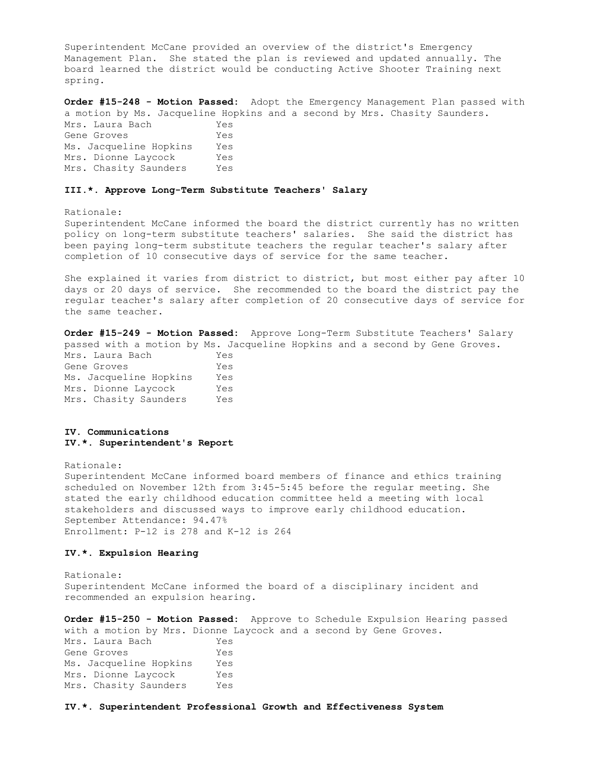Superintendent McCane provided an overview of the district's Emergency Management Plan. She stated the plan is reviewed and updated annually. The board learned the district would be conducting Active Shooter Training next spring.

**Order #15-248 - Motion Passed:** Adopt the Emergency Management Plan passed with a motion by Ms. Jacqueline Hopkins and a second by Mrs. Chasity Saunders. Mrs. Laura Bach Yes Gene Groves Yes Ms. Jacqueline Hopkins Yes Mrs. Dionne Laycock Yes Mrs. Chasity Saunders Yes

### **III.\*. Approve Long-Term Substitute Teachers' Salary**

Rationale:

Superintendent McCane informed the board the district currently has no written policy on long-term substitute teachers' salaries. She said the district has been paying long-term substitute teachers the regular teacher's salary after completion of 10 consecutive days of service for the same teacher.

She explained it varies from district to district, but most either pay after 10 days or 20 days of service. She recommended to the board the district pay the regular teacher's salary after completion of 20 consecutive days of service for the same teacher.

**Order #15-249 - Motion Passed:** Approve Long-Term Substitute Teachers' Salary passed with a motion by Ms. Jacqueline Hopkins and a second by Gene Groves. Mrs. Laura Bach Yes Gene Groves Tes Ms. Jacqueline Hopkins Yes Mrs. Dionne Laycock Yes Mrs. Chasity Saunders Yes

### **IV. Communications IV.\*. Superintendent's Report**

Rationale: Superintendent McCane informed board members of finance and ethics training scheduled on November 12th from 3:45-5:45 before the regular meeting. She stated the early childhood education committee held a meeting with local stakeholders and discussed ways to improve early childhood education. September Attendance: 94.47% Enrollment: P-12 is 278 and K-12 is 264

#### **IV.\*. Expulsion Hearing**

Rationale: Superintendent McCane informed the board of a disciplinary incident and recommended an expulsion hearing.

**Order #15-250 - Motion Passed:** Approve to Schedule Expulsion Hearing passed with a motion by Mrs. Dionne Laycock and a second by Gene Groves. Mrs. Laura Bach Yes Gene Groves Yes Ms. Jacqueline Hopkins Yes Mrs. Dionne Laycock Yes Mrs. Chasity Saunders Yes

**IV.\*. Superintendent Professional Growth and Effectiveness System**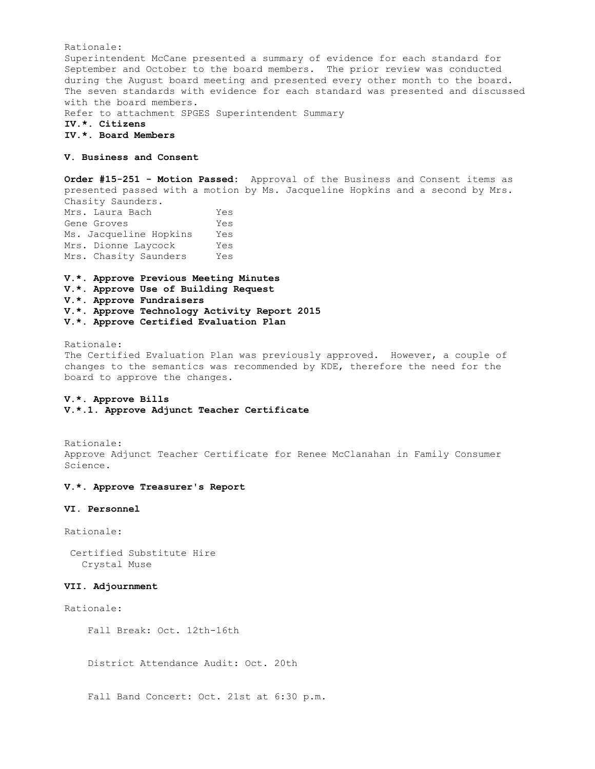Rationale: Superintendent McCane presented a summary of evidence for each standard for September and October to the board members. The prior review was conducted during the August board meeting and presented every other month to the board. The seven standards with evidence for each standard was presented and discussed with the board members. Refer to attachment SPGES Superintendent Summary **IV.\*. Citizens** 

### **IV.\*. Board Members**

#### **V. Business and Consent**

**Order #15-251 - Motion Passed:** Approval of the Business and Consent items as presented passed with a motion by Ms. Jacqueline Hopkins and a second by Mrs. Chasity Saunders. Mrs. Laura Bach Yes Gene Groves Tes Ms. Jacqueline Hopkins Yes Mrs. Dionne Laycock Yes Mrs. Chasity Saunders Yes

**V.\*. Approve Previous Meeting Minutes V.\*. Approve Use of Building Request V.\*. Approve Fundraisers V.\*. Approve Technology Activity Report 2015 V.\*. Approve Certified Evaluation Plan** 

Rationale:

The Certified Evaluation Plan was previously approved. However, a couple of changes to the semantics was recommended by KDE, therefore the need for the board to approve the changes.

# **V.\*. Approve Bills V.\*.1. Approve Adjunct Teacher Certificate**

Rationale: Approve Adjunct Teacher Certificate for Renee McClanahan in Family Consumer Science.

#### **V.\*. Approve Treasurer's Report**

#### **VI. Personnel**

Rationale:

Certified Substitute Hire Crystal Muse

#### **VII. Adjournment**

Rationale:

Fall Break: Oct. 12th-16th

District Attendance Audit: Oct. 20th

Fall Band Concert: Oct. 21st at 6:30 p.m.